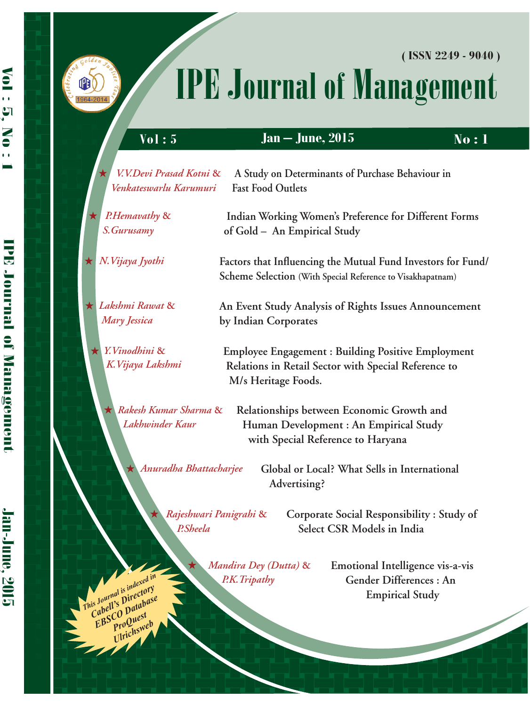



 $\mathbf{B}(\mathbb{R})$ 964-2014

# IPE Journal of Management

**( ISSN 2249 - 9040 )**

| <b>Vol</b> : 5                                                                 | <b>Jan – June, 2015</b>                                                                                                                 | <b>No:1</b>                                                                           |
|--------------------------------------------------------------------------------|-----------------------------------------------------------------------------------------------------------------------------------------|---------------------------------------------------------------------------------------|
| V.V.Devi Prasad Kotni &<br>Venkateswarlu Karumuri                              | A Study on Determinants of Purchase Behaviour in<br><b>Fast Food Outlets</b>                                                            |                                                                                       |
| P.Hemavathy &<br>★<br>S. Gurusamy                                              | Indian Working Women's Preference for Different Forms<br>of Gold - An Empirical Study                                                   |                                                                                       |
| N.Vijaya Jyothi                                                                | Factors that Influencing the Mutual Fund Investors for Fund/<br>Scheme Selection (With Special Reference to Visakhapatnam)              |                                                                                       |
| $\star$ Lakshmi Rawat &<br>Mary Jessica                                        | An Event Study Analysis of Rights Issues Announcement<br>by Indian Corporates                                                           |                                                                                       |
| $\star$ Y. Vinodhini &<br>K.Vijaya Lakshmi                                     | <b>Employee Engagement: Building Positive Employment</b><br>Relations in Retail Sector with Special Reference to<br>M/s Heritage Foods. |                                                                                       |
| Rakesh Kumar Sharma &<br>Lakhwinder Kaur                                       | Relationships between Economic Growth and<br>Human Development : An Empirical Study<br>with Special Reference to Haryana                |                                                                                       |
| Anuradha Bhattacharjee                                                         | Global or Local? What Sells in International<br>Advertising?                                                                            |                                                                                       |
| P.Sheela                                                                       | Rajeshwari Panigrahi &<br>Select CSR Models in India                                                                                    | Corporate Social Responsibility: Study of                                             |
| This Journal is indexed in<br>Cabell's Directory<br>EBSCO Database<br>ProQuest | Mandira Dey (Dutta) &<br>P.K. Tripathy                                                                                                  | Emotional Intelligence vis-a-vis<br>Gender Differences : An<br><b>Empirical Study</b> |
| Ulrichsweb                                                                     |                                                                                                                                         |                                                                                       |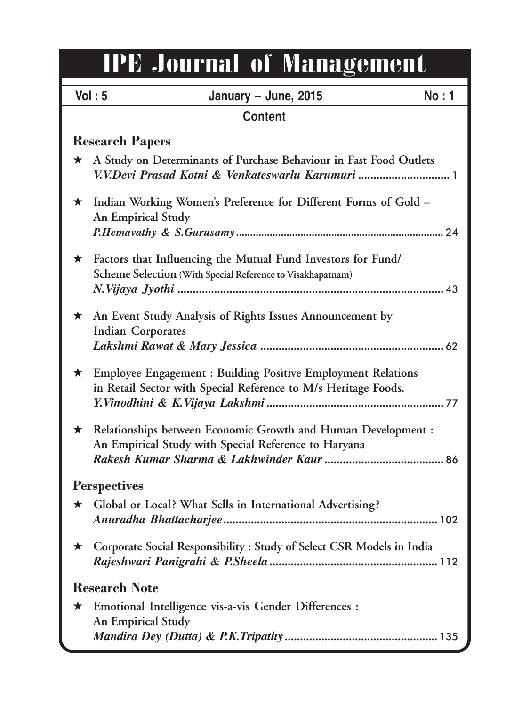## IPE Journal of Management

|                      | Vol: 5<br>January - June, 2015                                                                                                        | <b>No</b> : 1 |
|----------------------|---------------------------------------------------------------------------------------------------------------------------------------|---------------|
|                      | <b>Content</b>                                                                                                                        |               |
|                      | <b>Research Papers</b>                                                                                                                |               |
| $\star$              | A Study on Determinants of Purchase Behaviour in Fast Food Outlets<br>V.V.Devi Prasad Kotni & Venkateswarlu Karumuri  1               |               |
| $\star$              | Indian Working Women's Preference for Different Forms of Gold -<br>An Empirical Study                                                 |               |
|                      |                                                                                                                                       |               |
| $\star$              | Factors that Influencing the Mutual Fund Investors for Fund/                                                                          |               |
|                      | Scheme Selection (With Special Reference to Visakhapatnam)                                                                            |               |
|                      |                                                                                                                                       |               |
|                      | $\star$ An Event Study Analysis of Rights Issues Announcement by<br><b>Indian Corporates</b>                                          |               |
|                      |                                                                                                                                       |               |
| $\star$              | <b>Employee Engagement : Building Positive Employment Relations</b><br>in Retail Sector with Special Reference to M/s Heritage Foods. |               |
| $\star$              | Relationships between Economic Growth and Human Development :<br>An Empirical Study with Special Reference to Haryana                 |               |
|                      | <b>Perspectives</b>                                                                                                                   |               |
| $\star$              | Global or Local? What Sells in International Advertising?                                                                             |               |
| *                    | Corporate Social Responsibility : Study of Select CSR Models in India                                                                 |               |
| <b>Research Note</b> |                                                                                                                                       |               |
| ★                    | Emotional Intelligence vis-a-vis Gender Differences :<br>An Empirical Study                                                           |               |
|                      |                                                                                                                                       |               |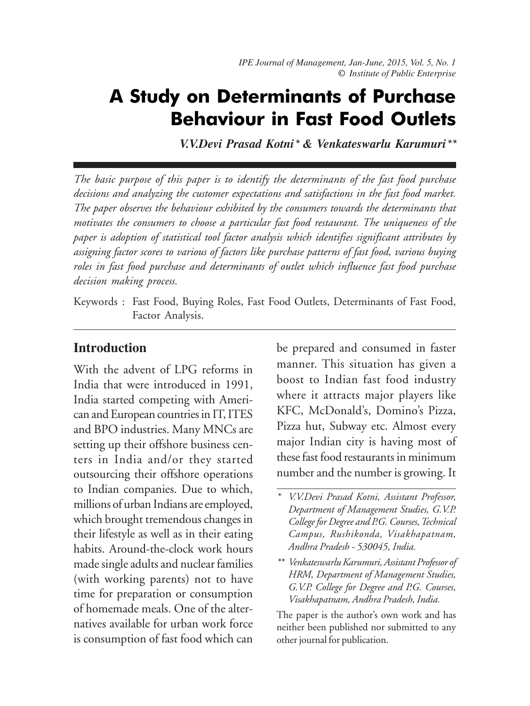## A Study on Determinants of Purchase Behaviour in Fast Food Outlets

*V.V.Devi Prasad Kotni\* & Venkateswarlu Karumuri\*\**

*The basic purpose of this paper is to identify the determinants of the fast food purchase decisions and analyzing the customer expectations and satisfactions in the fast food market. The paper observes the behaviour exhibited by the consumers towards the determinants that motivates the consumers to choose a particular fast food restaurant. The uniqueness of the paper is adoption of statistical tool factor analysis which identifies significant attributes by assigning factor scores to various of factors like purchase patterns of fast food, various buying roles in fast food purchase and determinants of outlet which influence fast food purchase decision making process.*

Keywords : Fast Food, Buying Roles, Fast Food Outlets, Determinants of Fast Food, Factor Analysis.

#### **Introduction**

With the advent of LPG reforms in India that were introduced in 1991, India started competing with American and European countries in IT, ITES and BPO industries. Many MNCs are setting up their offshore business centers in India and/or they started outsourcing their offshore operations to Indian companies. Due to which, millions of urban Indians are employed, which brought tremendous changes in their lifestyle as well as in their eating habits. Around-the-clock work hours made single adults and nuclear families (with working parents) not to have time for preparation or consumption of homemade meals. One of the alternatives available for urban work force is consumption of fast food which can

be prepared and consumed in faster manner. This situation has given a boost to Indian fast food industry where it attracts major players like KFC, McDonald's, Domino's Pizza, Pizza hut, Subway etc. Almost every major Indian city is having most of these fast food restaurants in minimum number and the number is growing. It

The paper is the author's own work and has neither been published nor submitted to any other journal for publication.

*<sup>\*</sup> V.V.Devi Prasad Kotni, Assistant Professor, Department of Management Studies, G.V.P. College for Degree and P.G. Courses, Technical Campus, Rushikonda, Visakhapatnam, Andhra Pradesh - 530045, India.*

*<sup>\*\*</sup> Venkateswarlu Karumuri, Assistant Professor of HRM, Department of Management Studies, G.V.P. College for Degree and P.G. Courses, Visakhapatnam, Andhra Pradesh, India.*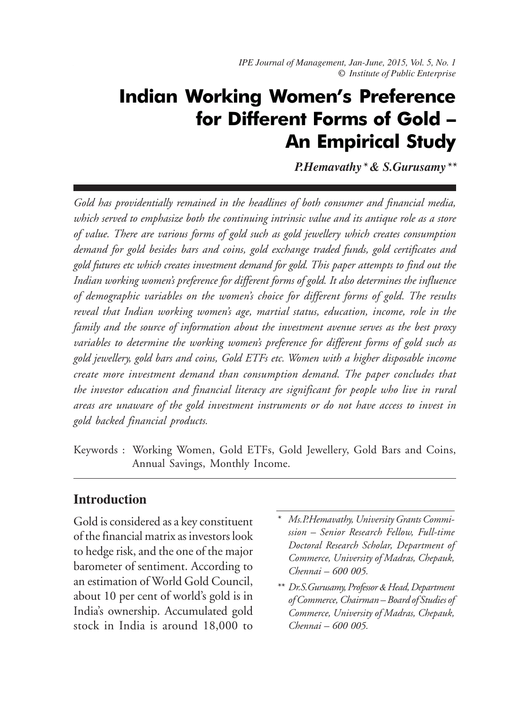*IPE Journal of Management, Jan-June, 2015, Vol. 5, No. 1 IPE Journal of Management, Jan-June, 2015, Vol. 5, No. 1 © Institute of Public Enterprise*

## Indian Working Women's Preference for Different Forms of Gold – An Empirical Study

*P.Hemavathy\* & S.Gurusamy\*\**

*Gold has providentially remained in the headlines of both consumer and financial media, which served to emphasize both the continuing intrinsic value and its antique role as a store of value. There are various forms of gold such as gold jewellery which creates consumption demand for gold besides bars and coins, gold exchange traded funds, gold certificates and gold futures etc which creates investment demand for gold. This paper attempts to find out the Indian working women's preference for different forms of gold. It also determines the influence of demographic variables on the women's choice for different forms of gold. The results reveal that Indian working women's age, martial status, education, income, role in the family and the source of information about the investment avenue serves as the best proxy variables to determine the working women's preference for different forms of gold such as gold jewellery, gold bars and coins, Gold ETFs etc. Women with a higher disposable income create more investment demand than consumption demand. The paper concludes that the investor education and financial literacy are significant for people who live in rural areas are unaware of the gold investment instruments or do not have access to invest in gold backed financial products.*

Keywords : Working Women, Gold ETFs, Gold Jewellery, Gold Bars and Coins, Annual Savings, Monthly Income.

#### **Introduction**

Gold is considered as a key constituent of the financial matrix as investors look to hedge risk, and the one of the major barometer of sentiment. According to an estimation of World Gold Council, about 10 per cent of world's gold is in India's ownership. Accumulated gold stock in India is around 18,000 to

- *\* Ms.P.Hemavathy, University Grants Commission – Senior Research Fellow, Full-time Doctoral Research Scholar, Department of Commerce, University of Madras, Chepauk, Chennai – 600 005.*
- *\*\* Dr.S.Gurusamy, Professor & Head, Department of Commerce, Chairman – Board of Studies of Commerce, University of Madras, Chepauk, Chennai – 600 005.*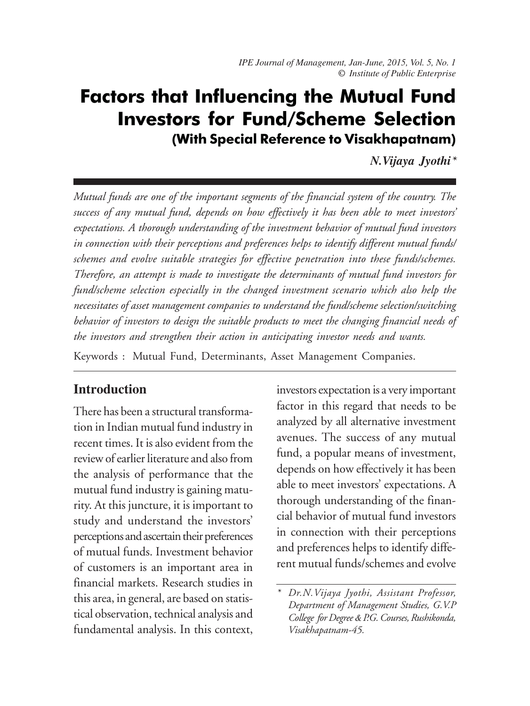### Factors that Influencing the Mutual Fund Investors for Fund/Scheme Selection (With Special Reference to Visakhapatnam)

*N.Vijaya Jyothi\**

*Mutual funds are one of the important segments of the financial system of the country. The success of any mutual fund, depends on how effectively it has been able to meet investors' expectations. A thorough understanding of the investment behavior of mutual fund investors in connection with their perceptions and preferences helps to identify different mutual funds/ schemes and evolve suitable strategies for effective penetration into these funds/schemes. Therefore, an attempt is made to investigate the determinants of mutual fund investors for fund/scheme selection especially in the changed investment scenario which also help the necessitates of asset management companies to understand the fund/scheme selection/switching behavior of investors to design the suitable products to meet the changing financial needs of the investors and strengthen their action in anticipating investor needs and wants.*

Keywords : Mutual Fund, Determinants, Asset Management Companies.

#### **Introduction**

There has been a structural transformation in Indian mutual fund industry in recent times. It is also evident from the review of earlier literature and also from the analysis of performance that the mutual fund industry is gaining maturity. At this juncture, it is important to study and understand the investors' perceptions and ascertain their preferences of mutual funds. Investment behavior of customers is an important area in financial markets. Research studies in this area, in general, are based on statistical observation, technical analysis and fundamental analysis. In this context,

investors expectation is a very important factor in this regard that needs to be analyzed by all alternative investment avenues. The success of any mutual fund, a popular means of investment, depends on how effectively it has been able to meet investors' expectations. A thorough understanding of the financial behavior of mutual fund investors in connection with their perceptions and preferences helps to identify different mutual funds/schemes and evolve

*<sup>\*</sup> Dr.N.Vijaya Jyothi, Assistant Professor, Department of Management Studies, G.V.P College for Degree & P.G. Courses, Rushikonda, Visakhapatnam-45.*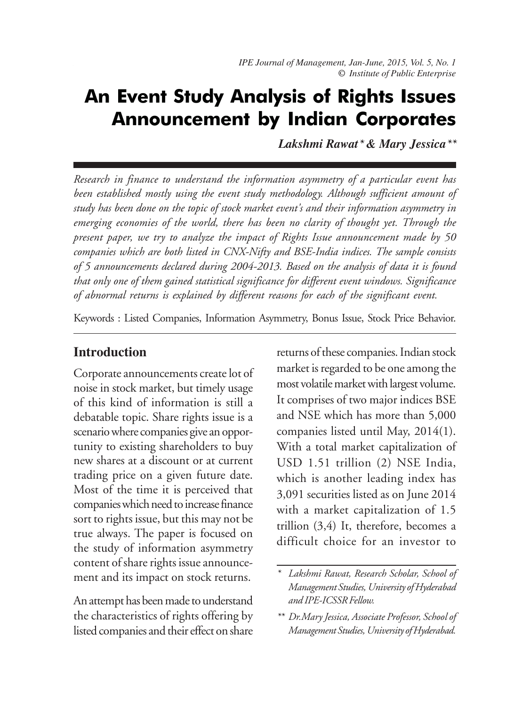## An Event Study Analysis of Rights Issues Announcement by Indian Corporates

*Lakshmi Rawat\* & Mary Jessica\*\**

*Research in finance to understand the information asymmetry of a particular event has been established mostly using the event study methodology. Although sufficient amount of study has been done on the topic of stock market event's and their information asymmetry in emerging economies of the world, there has been no clarity of thought yet. Through the present paper, we try to analyze the impact of Rights Issue announcement made by 50 companies which are both listed in CNX-Nifty and BSE-India indices. The sample consists of 5 announcements declared during 2004-2013. Based on the analysis of data it is found that only one of them gained statistical significance for different event windows. Significance of abnormal returns is explained by different reasons for each of the significant event.*

Keywords : Listed Companies, Information Asymmetry, Bonus Issue, Stock Price Behavior.

#### **Introduction**

Corporate announcements create lot of noise in stock market, but timely usage of this kind of information is still a debatable topic. Share rights issue is a scenario where companies give an opportunity to existing shareholders to buy new shares at a discount or at current trading price on a given future date. Most of the time it is perceived that companies which need to increase finance sort to rights issue, but this may not be true always. The paper is focused on the study of information asymmetry content of share rights issue announcement and its impact on stock returns.

An attempt has been made to understand the characteristics of rights offering by listed companies and their effect on share

returns of these companies. Indian stock market is regarded to be one among the most volatile market with largest volume. It comprises of two major indices BSE and NSE which has more than 5,000 companies listed until May, 2014(1). With a total market capitalization of USD 1.51 trillion (2) NSE India, which is another leading index has 3,091 securities listed as on June 2014 with a market capitalization of 1.5 trillion (3,4) It, therefore, becomes a difficult choice for an investor to

*<sup>\*</sup> Lakshmi Rawat, Research Scholar, School of Management Studies, University of Hyderabad and IPE-ICSSR Fellow.*

*<sup>\*\*</sup> Dr.Mary Jessica, Associate Professor, School of Management Studies, University of Hyderabad.*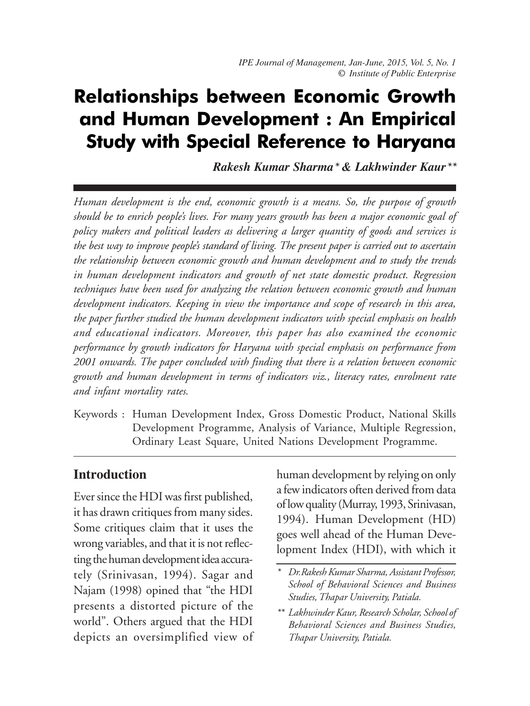## Relationships between Economic Growth and Human Development : An Empirical Study with Special Reference to Haryana

*Rakesh Kumar Sharma\* & Lakhwinder Kaur\*\**

*Human development is the end, economic growth is a means. So, the purpose of growth should be to enrich people's lives. For many years growth has been a major economic goal of policy makers and political leaders as delivering a larger quantity of goods and services is the best way to improve people's standard of living. The present paper is carried out to ascertain the relationship between economic growth and human development and to study the trends in human development indicators and growth of net state domestic product. Regression techniques have been used for analyzing the relation between economic growth and human development indicators. Keeping in view the importance and scope of research in this area, the paper further studied the human development indicators with special emphasis on health and educational indicators. Moreover, this paper has also examined the economic performance by growth indicators for Haryana with special emphasis on performance from 2001 onwards. The paper concluded with finding that there is a relation between economic growth and human development in terms of indicators viz., literacy rates, enrolment rate and infant mortality rates.*

Keywords : Human Development Index, Gross Domestic Product, National Skills Development Programme, Analysis of Variance, Multiple Regression, Ordinary Least Square, United Nations Development Programme.

#### **Introduction**

Ever since the HDI was first published, it has drawn critiques from many sides. Some critiques claim that it uses the wrong variables, and that it is not reflecting the human development idea accurately (Srinivasan, 1994). Sagar and Najam (1998) opined that "the HDI presents a distorted picture of the world". Others argued that the HDI depicts an oversimplified view of human development by relying on only a few indicators often derived from data of low quality (Murray, 1993, Srinivasan, 1994). Human Development (HD) goes well ahead of the Human Development Index (HDI), with which it

*<sup>\*</sup> Dr.Rakesh Kumar Sharma, Assistant Professor, School of Behavioral Sciences and Business Studies, Thapar University, Patiala.*

*<sup>\*\*</sup> Lakhwinder Kaur, Research Scholar, School of Behavioral Sciences and Business Studies, Thapar University, Patiala.*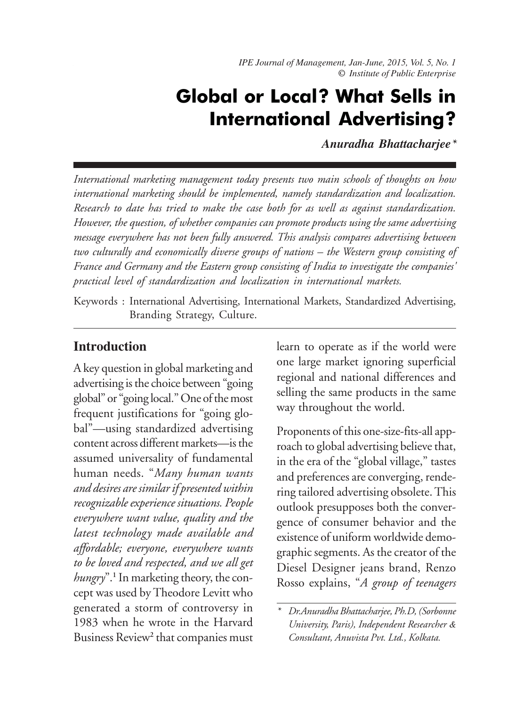*IPE Journal of Management, Jan-June, 2015, Vol. 5, No. 1 IPE Journal of Management, Jan-June, 2015, Vol. 5, No. 1 © Institute of Public Enterprise*

## Global or Local? What Sells in International Advertising?

*Anuradha Bhattacharjee\**

*International marketing management today presents two main schools of thoughts on how international marketing should be implemented, namely standardization and localization. Research to date has tried to make the case both for as well as against standardization. However, the question, of whether companies can promote products using the same advertising message everywhere has not been fully answered. This analysis compares advertising between two culturally and economically diverse groups of nations – the Western group consisting of France and Germany and the Eastern group consisting of India to investigate the companies' practical level of standardization and localization in international markets.*

Keywords : International Advertising, International Markets, Standardized Advertising, Branding Strategy, Culture.

#### **Introduction**

A key question in global marketing and advertising is the choice between "going global" or "going local." One of the most frequent justifications for "going global"—using standardized advertising content across different markets—is the assumed universality of fundamental human needs. "*Many human wants and desires are similar if presented within recognizable experience situations. People everywhere want value, quality and the latest technology made available and affordable; everyone, everywhere wants to be loved and respected, and we all get hungry*".**<sup>1</sup>** In marketing theory, the concept was used by Theodore Levitt who generated a storm of controversy in 1983 when he wrote in the Harvard Business Review**<sup>2</sup>** that companies must

learn to operate as if the world were one large market ignoring superficial regional and national differences and selling the same products in the same way throughout the world.

Proponents of this one-size-fits-all approach to global advertising believe that, in the era of the "global village," tastes and preferences are converging, rendering tailored advertising obsolete. This outlook presupposes both the convergence of consumer behavior and the existence of uniform worldwide demographic segments. As the creator of the Diesel Designer jeans brand, Renzo Rosso explains, "*A group of teenagers*

*<sup>\*</sup> Dr.Anuradha Bhattacharjee, Ph.D, (Sorbonne University, Paris), Independent Researcher & Consultant, Anuvista Pvt. Ltd., Kolkata.*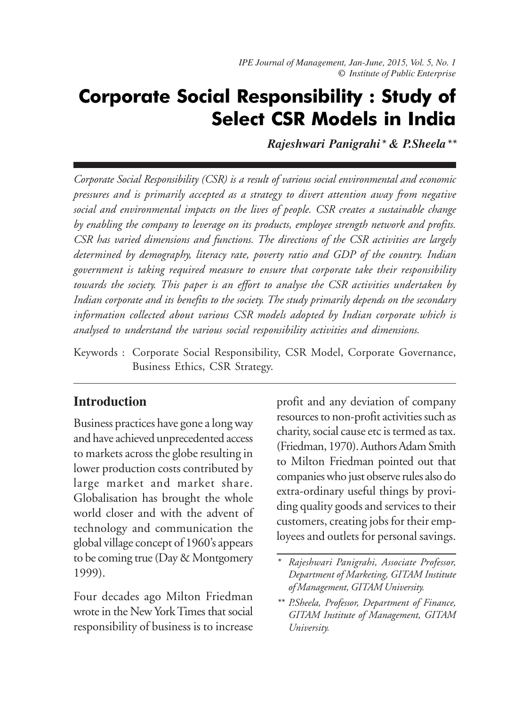## Corporate Social Responsibility : Study of Select CSR Models in India

*Rajeshwari Panigrahi\* & P.Sheela\*\**

*Corporate Social Responsibility (CSR) is a result of various social environmental and economic pressures and is primarily accepted as a strategy to divert attention away from negative social and environmental impacts on the lives of people. CSR creates a sustainable change by enabling the company to leverage on its products, employee strength network and profits. CSR has varied dimensions and functions. The directions of the CSR activities are largely determined by demography, literacy rate, poverty ratio and GDP of the country. Indian government is taking required measure to ensure that corporate take their responsibility towards the society. This paper is an effort to analyse the CSR activities undertaken by Indian corporate and its benefits to the society. The study primarily depends on the secondary information collected about various CSR models adopted by Indian corporate which is analysed to understand the various social responsibility activities and dimensions.*

Keywords : Corporate Social Responsibility, CSR Model, Corporate Governance, Business Ethics, CSR Strategy.

#### **Introduction**

Business practices have gone a long way and have achieved unprecedented access to markets across the globe resulting in lower production costs contributed by large market and market share. Globalisation has brought the whole world closer and with the advent of technology and communication the global village concept of 1960's appears to be coming true (Day & Montgomery 1999).

Four decades ago Milton Friedman wrote in the New York Times that social responsibility of business is to increase

profit and any deviation of company resources to non-profit activities such as charity, social cause etc is termed as tax. (Friedman, 1970). Authors Adam Smith to Milton Friedman pointed out that companies who just observe rules also do extra-ordinary useful things by providing quality goods and services to their customers, creating jobs for their employees and outlets for personal savings.

*<sup>\*</sup> Rajeshwari Panigrahi, Associate Professor, Department of Marketing, GITAM Institute of Management, GITAM University.*

*<sup>\*\*</sup> P.Sheela, Professor, Department of Finance, GITAM Institute of Management, GITAM University.*